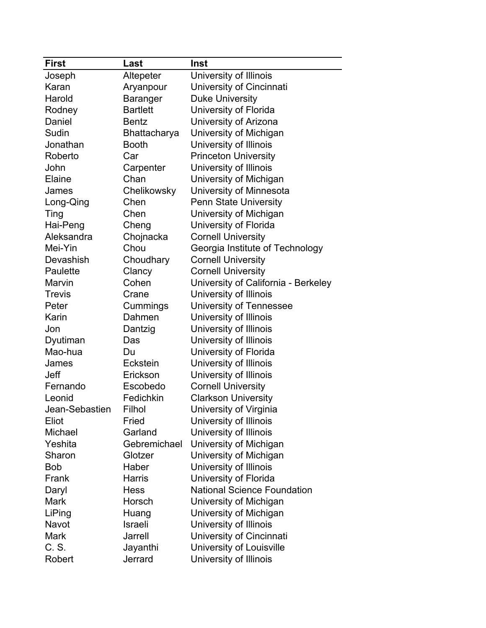| <b>First</b>   | Last            | Inst                                |
|----------------|-----------------|-------------------------------------|
| Joseph         | Altepeter       | University of Illinois              |
| Karan          | Aryanpour       | University of Cincinnati            |
| Harold         | Baranger        | <b>Duke University</b>              |
| Rodney         | <b>Bartlett</b> | University of Florida               |
| Daniel         | <b>Bentz</b>    | University of Arizona               |
| Sudin          | Bhattacharya    | University of Michigan              |
| Jonathan       | <b>Booth</b>    | University of Illinois              |
| Roberto        | Car             | <b>Princeton University</b>         |
| John           | Carpenter       | University of Illinois              |
| Elaine         | Chan            | University of Michigan              |
| James          | Chelikowsky     | University of Minnesota             |
| Long-Qing      | Chen            | <b>Penn State University</b>        |
| Ting           | Chen            | University of Michigan              |
| Hai-Peng       | Cheng           | University of Florida               |
| Aleksandra     | Chojnacka       | <b>Cornell University</b>           |
| Mei-Yin        | Chou            | Georgia Institute of Technology     |
| Devashish      | Choudhary       | <b>Cornell University</b>           |
| Paulette       | Clancy          | <b>Cornell University</b>           |
| Marvin         | Cohen           | University of California - Berkeley |
| <b>Trevis</b>  | Crane           | University of Illinois              |
| Peter          | Cummings        | <b>University of Tennessee</b>      |
| Karin          | Dahmen          | University of Illinois              |
| Jon            | Dantzig         | University of Illinois              |
| Dyutiman       | Das             | University of Illinois              |
| Mao-hua        | Du              | University of Florida               |
| James          | Eckstein        | University of Illinois              |
| <b>Jeff</b>    | Erickson        | University of Illinois              |
| Fernando       | Escobedo        | <b>Cornell University</b>           |
| Leonid         | Fedichkin       | <b>Clarkson University</b>          |
| Jean-Sebastien | Filhol          | University of Virginia              |
| Eliot          | Fried           | University of Illinois              |
| Michael        | Garland         | University of Illinois              |
| Yeshita        | Gebremichael    | University of Michigan              |
| Sharon         | Glotzer         | University of Michigan              |
| <b>Bob</b>     | Haber           | University of Illinois              |
| Frank          | <b>Harris</b>   | University of Florida               |
| Daryl          | <b>Hess</b>     | <b>National Science Foundation</b>  |
| <b>Mark</b>    | Horsch          | University of Michigan              |
| LiPing         | Huang           | University of Michigan              |
| Navot          | Israeli         | University of Illinois              |
| <b>Mark</b>    | Jarrell         | University of Cincinnati            |
| C. S.          | Jayanthi        | University of Louisville            |
| Robert         | Jerrard         | University of Illinois              |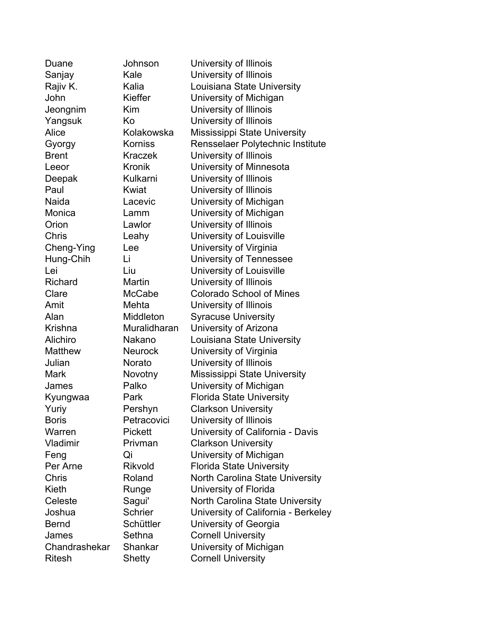| Duane          | Johnson        | University of Illinois                 |
|----------------|----------------|----------------------------------------|
| Sanjay         | Kale           | University of Illinois                 |
| Rajiv K.       | Kalia          | Louisiana State University             |
| John           | Kieffer        | University of Michigan                 |
| Jeongnim       | Kim            | University of Illinois                 |
| Yangsuk        | Κo             | University of Illinois                 |
| Alice          | Kolakowska     | Mississippi State University           |
| Gyorgy         | Korniss        | Rensselaer Polytechnic Institute       |
| <b>Brent</b>   | <b>Kraczek</b> | University of Illinois                 |
| Leeor          | <b>Kronik</b>  | University of Minnesota                |
| Deepak         | Kulkarni       | University of Illinois                 |
| Paul           | Kwiat          | University of Illinois                 |
| Naida          | Lacevic        | University of Michigan                 |
| Monica         | Lamm           | University of Michigan                 |
| Orion          | Lawlor         | University of Illinois                 |
| Chris          | Leahy          | University of Louisville               |
| Cheng-Ying     | Lee            | University of Virginia                 |
| Hung-Chih      | Li             | University of Tennessee                |
| Lei            | Liu            | University of Louisville               |
| Richard        | Martin         | University of Illinois                 |
| Clare          | <b>McCabe</b>  | <b>Colorado School of Mines</b>        |
| Amit           | Mehta          | University of Illinois                 |
| Alan           | Middleton      | <b>Syracuse University</b>             |
| Krishna        | Muralidharan   | University of Arizona                  |
| Alichiro       | Nakano         | Louisiana State University             |
| <b>Matthew</b> | Neurock        | University of Virginia                 |
| Julian         | Norato         | University of Illinois                 |
| <b>Mark</b>    | Novotny        | Mississippi State University           |
| James          | Palko          | University of Michigan                 |
| Kyungwaa       | Park           | <b>Florida State University</b>        |
| Yuriy          | Pershyn        | <b>Clarkson University</b>             |
| <b>Boris</b>   | Petracovici    | University of Illinois                 |
| Warren         | <b>Pickett</b> | University of California - Davis       |
| Vladimir       | Privman        | <b>Clarkson University</b>             |
| Feng           | Qi             | University of Michigan                 |
| Per Arne       | <b>Rikvold</b> | <b>Florida State University</b>        |
| Chris          | Roland         | <b>North Carolina State University</b> |
| Kieth          | Runge          | University of Florida                  |
| Celeste        | Sagui'         | North Carolina State University        |
| Joshua         | <b>Schrier</b> | University of California - Berkeley    |
| <b>Bernd</b>   | Schüttler      | University of Georgia                  |
| James          | Sethna         | <b>Cornell University</b>              |
| Chandrashekar  | Shankar        | University of Michigan                 |
| <b>Ritesh</b>  | <b>Shetty</b>  | <b>Cornell University</b>              |